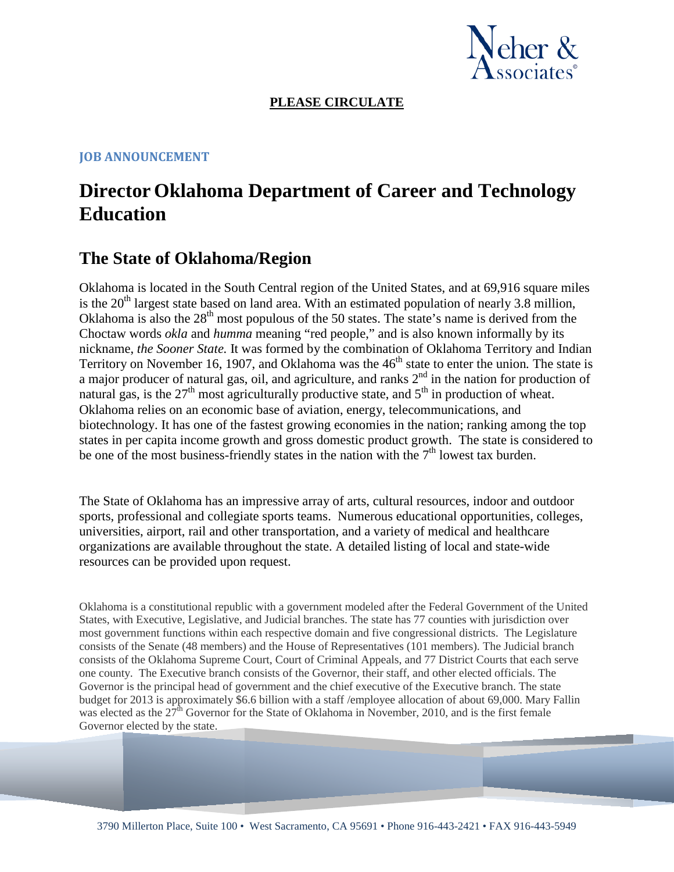

#### **PLEASE CIRCULATE**

#### **JOB ANNOUNCEMENT**

## **Director Oklahoma Department of Career and Technology Education**

## **The State of Oklahoma/Region**

Oklahoma is located in the South Central region of the United States, and at 69,916 square miles is the  $20<sup>th</sup>$  largest state based on land area. With an estimated population of nearly 3.8 million, Oklahoma is also the  $28<sup>th</sup>$  most populous of the 50 states. The state's name is derived from the Choctaw words *okla* and *humma* meaning "red people," and is also known informally by its nickname, *the Sooner State.* It was formed by the combination of Oklahoma Territory and Indian Territory on November 16, 1907, and Oklahoma was the 46<sup>th</sup> state to enter the union. The state is a major producer of natural gas, oil, and agriculture, and ranks  $2<sup>nd</sup>$  in the nation for production of natural gas, is the  $27<sup>th</sup>$  most agriculturally productive state, and  $5<sup>th</sup>$  in production of wheat. Oklahoma relies on an economic base of aviation, energy, telecommunications, and biotechnology. It has one of the fastest growing economies in the nation; ranking among the top states in per capita income growth and gross domestic product growth. The state is considered to be one of the most business-friendly states in the nation with the  $7<sup>th</sup>$  lowest tax burden.

The State of Oklahoma has an impressive array of arts, cultural resources, indoor and outdoor sports, professional and collegiate sports teams. Numerous educational opportunities, colleges, universities, airport, rail and other transportation, and a variety of medical and healthcare organizations are available throughout the state. A detailed listing of local and state-wide resources can be provided upon request.

Oklahoma is a constitutional republic with a government modeled after the Federal Government of the United States, with Executive, Legislative, and Judicial branches. The state has 77 counties with jurisdiction over most government functions within each respective domain and five congressional districts. The Legislature consists of the Senate (48 members) and the House of Representatives (101 members). The Judicial branch consists of the Oklahoma Supreme Court, Court of Criminal Appeals, and 77 District Courts that each serve one county. The Executive branch consists of the Governor, their staff, and other elected officials. The Governor is the principal head of government and the chief executive of the Executive branch. The state budget for 2013 is approximately \$6.6 billion with a staff /employee allocation of about 69,000. Mary Fallin was elected as the  $27<sup>th</sup>$  Governor for the State of Oklahoma in November, 2010, and is the first female Governor elected by the state.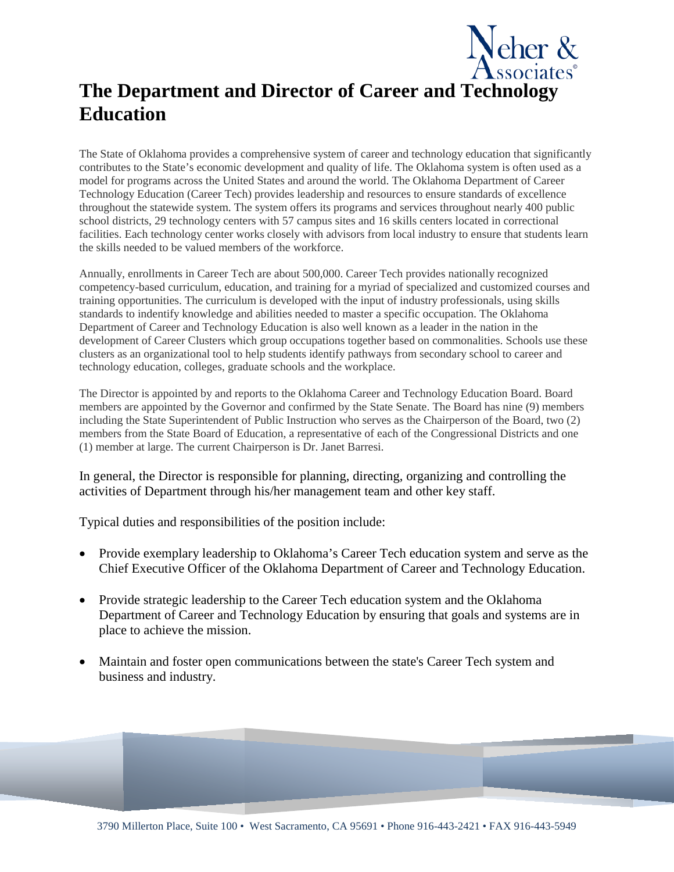# **The Department and Director of Career and Technology Education**

eher &

The State of Oklahoma provides a comprehensive system of career and technology education that significantly contributes to the State's economic development and quality of life. The Oklahoma system is often used as a model for programs across the United States and around the world. The Oklahoma Department of Career Technology Education (Career Tech) provides leadership and resources to ensure standards of excellence throughout the statewide system. The system offers its programs and services throughout nearly 400 public school districts, 29 technology centers with 57 campus sites and 16 skills centers located in correctional facilities. Each technology center works closely with advisors from local industry to ensure that students learn the skills needed to be valued members of the workforce.

Annually, enrollments in Career Tech are about 500,000. Career Tech provides nationally recognized competency-based curriculum, education, and training for a myriad of specialized and customized courses and training opportunities. The curriculum is developed with the input of industry professionals, using skills standards to indentify knowledge and abilities needed to master a specific occupation. The Oklahoma Department of Career and Technology Education is also well known as a leader in the nation in the development of Career Clusters which group occupations together based on commonalities. Schools use these clusters as an organizational tool to help students identify pathways from secondary school to career and technology education, colleges, graduate schools and the workplace.

The Director is appointed by and reports to the Oklahoma Career and Technology Education Board. Board members are appointed by the Governor and confirmed by the State Senate. The Board has nine (9) members including the State Superintendent of Public Instruction who serves as the Chairperson of the Board, two (2) members from the State Board of Education, a representative of each of the Congressional Districts and one (1) member at large. The current Chairperson is Dr. Janet Barresi.

In general, the Director is responsible for planning, directing, organizing and controlling the activities of Department through his/her management team and other key staff.

Typical duties and responsibilities of the position include:

- Provide exemplary leadership to Oklahoma's Career Tech education system and serve as the Chief Executive Officer of the Oklahoma Department of Career and Technology Education.
- Provide strategic leadership to the Career Tech education system and the Oklahoma Department of Career and Technology Education by ensuring that goals and systems are in place to achieve the mission.
- Maintain and foster open communications between the state's Career Tech system and business and industry.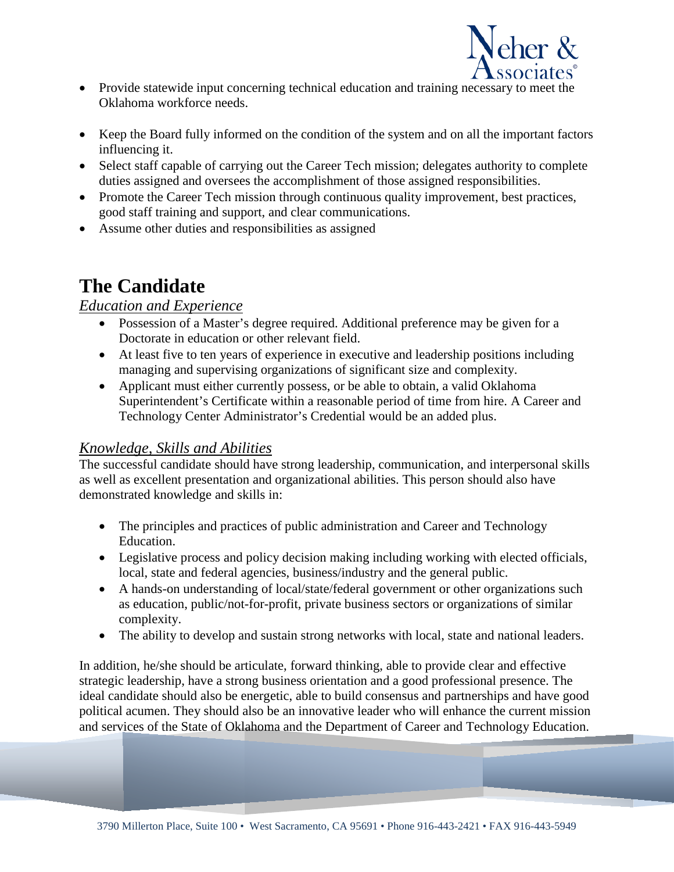

- Provide statewide input concerning technical education and training necessary to meet the Oklahoma workforce needs.
- Keep the Board fully informed on the condition of the system and on all the important factors influencing it.
- Select staff capable of carrying out the Career Tech mission; delegates authority to complete duties assigned and oversees the accomplishment of those assigned responsibilities.
- Promote the Career Tech mission through continuous quality improvement, best practices, good staff training and support, and clear communications.
- Assume other duties and responsibilities as assigned

# **The Candidate**

#### *Education and Experience*

- Possession of a Master's degree required. Additional preference may be given for a Doctorate in education or other relevant field.
- At least five to ten years of experience in executive and leadership positions including managing and supervising organizations of significant size and complexity.
- Applicant must either currently possess, or be able to obtain, a valid Oklahoma Superintendent's Certificate within a reasonable period of time from hire. A Career and Technology Center Administrator's Credential would be an added plus.

### *Knowledge, Skills and Abilities*

The successful candidate should have strong leadership, communication, and interpersonal skills as well as excellent presentation and organizational abilities. This person should also have demonstrated knowledge and skills in:

- The principles and practices of public administration and Career and Technology Education.
- Legislative process and policy decision making including working with elected officials, local, state and federal agencies, business/industry and the general public.
- A hands-on understanding of local/state/federal government or other organizations such as education, public/not-for-profit, private business sectors or organizations of similar complexity.
- The ability to develop and sustain strong networks with local, state and national leaders.

In addition, he/she should be articulate, forward thinking, able to provide clear and effective strategic leadership, have a strong business orientation and a good professional presence. The ideal candidate should also be energetic, able to build consensus and partnerships and have good political acumen. They should also be an innovative leader who will enhance the current mission and services of the State of Oklahoma and the Department of Career and Technology Education.